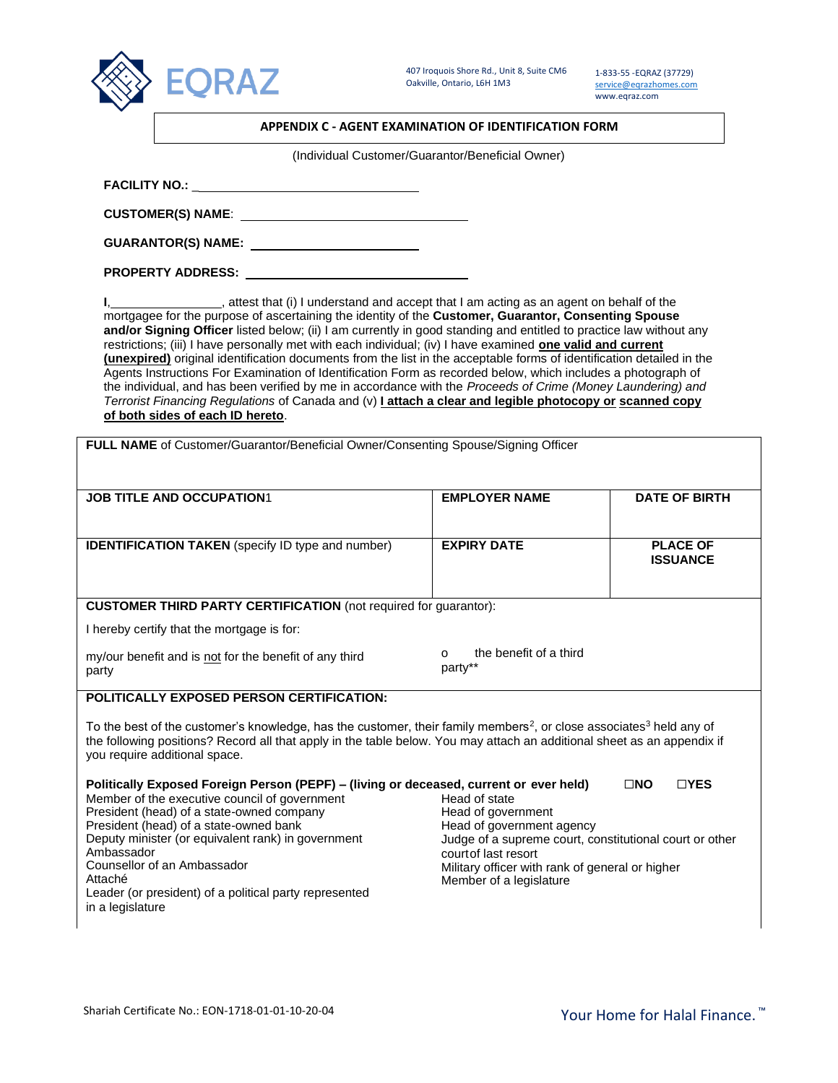

1-833-55 -EQRAZ (37729) [service@eqrazhomes.com](mailto:service@eqrazhomes.com) www.eqraz.com

|  |  | APPENDIX C - AGENT EXAMINATION OF IDENTIFICATION FORM |
|--|--|-------------------------------------------------------|
|--|--|-------------------------------------------------------|

(Individual Customer/Guarantor/Beneficial Owner)

**CUSTOMER(S) NAME**:

**GUARANTOR(S) NAME:** 

**PROPERTY ADDRESS:** 

**I**, **I**, attest that (i) I understand and accept that I am acting as an agent on behalf of the mortgagee for the purpose of ascertaining the identity of the **Customer, Guarantor, Consenting Spouse and/or Signing Officer** listed below; (ii) I am currently in good standing and entitled to practice law without any restrictions; (iii) I have personally met with each individual; (iv) I have examined **one valid and current (unexpired)** original identification documents from the list in the acceptable forms of identification detailed in the Agents Instructions For Examination of Identification Form as recorded below, which includes a photograph of the individual, and has been verified by me in accordance with the *Proceeds of Crime (Money Laundering) and Terrorist Financing Regulations* of Canada and (v) **I attach a clear and legible photocopy or scanned copy of both sides of each ID hereto**.

| <b>JOB TITLE AND OCCUPATION1</b>                                                                                                                                                                                                                                                                                                                                                                                                                                                                | <b>EMPLOYER NAME</b>                                                                                                                                            | <b>DATE OF BIRTH</b>               |
|-------------------------------------------------------------------------------------------------------------------------------------------------------------------------------------------------------------------------------------------------------------------------------------------------------------------------------------------------------------------------------------------------------------------------------------------------------------------------------------------------|-----------------------------------------------------------------------------------------------------------------------------------------------------------------|------------------------------------|
| <b>IDENTIFICATION TAKEN</b> (specify ID type and number)                                                                                                                                                                                                                                                                                                                                                                                                                                        | <b>EXPIRY DATE</b>                                                                                                                                              | <b>PLACE OF</b><br><b>ISSUANCE</b> |
| <b>CUSTOMER THIRD PARTY CERTIFICATION</b> (not required for guarantor):                                                                                                                                                                                                                                                                                                                                                                                                                         |                                                                                                                                                                 |                                    |
| I hereby certify that the mortgage is for:                                                                                                                                                                                                                                                                                                                                                                                                                                                      |                                                                                                                                                                 |                                    |
| my/our benefit and is not for the benefit of any third<br>party                                                                                                                                                                                                                                                                                                                                                                                                                                 | the benefit of a third<br>$\Omega$<br>party**                                                                                                                   |                                    |
| <b>POLITICALLY EXPOSED PERSON CERTIFICATION:</b>                                                                                                                                                                                                                                                                                                                                                                                                                                                |                                                                                                                                                                 |                                    |
|                                                                                                                                                                                                                                                                                                                                                                                                                                                                                                 |                                                                                                                                                                 |                                    |
|                                                                                                                                                                                                                                                                                                                                                                                                                                                                                                 |                                                                                                                                                                 |                                    |
|                                                                                                                                                                                                                                                                                                                                                                                                                                                                                                 |                                                                                                                                                                 | $\square$ NO<br>$\sqcap$ YES       |
| To the best of the customer's knowledge, has the customer, their family members <sup>2</sup> , or close associates <sup>3</sup> held any of<br>the following positions? Record all that apply in the table below. You may attach an additional sheet as an appendix if<br>you require additional space.<br>Politically Exposed Foreign Person (PEPF) – (living or deceased, current or ever held)<br>Member of the executive council of government<br>President (head) of a state-owned company | Head of state<br>Head of government                                                                                                                             |                                    |
| President (head) of a state-owned bank<br>Deputy minister (or equivalent rank) in government<br>Ambassador<br>Counsellor of an Ambassador                                                                                                                                                                                                                                                                                                                                                       | Head of government agency<br>Judge of a supreme court, constitutional court or other<br>court of last resort<br>Military officer with rank of general or higher |                                    |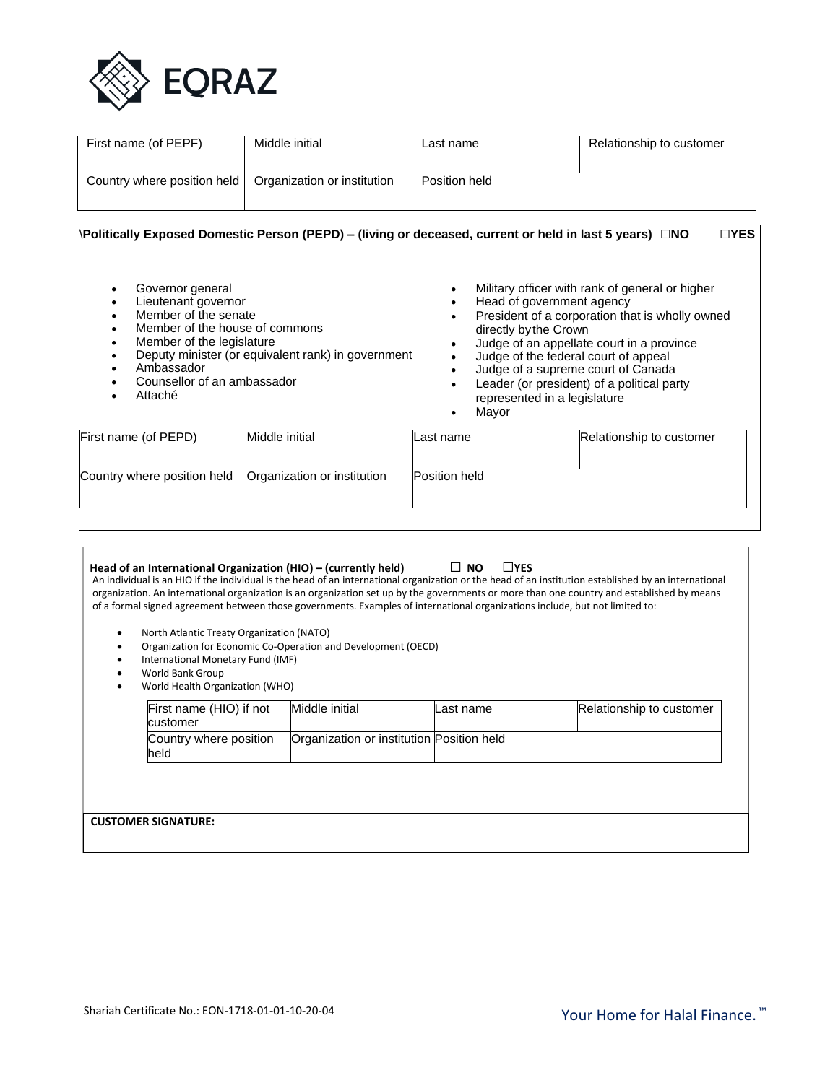

| First name (of PEPF)        | Middle initial              | Last name     | Relationship to customer |
|-----------------------------|-----------------------------|---------------|--------------------------|
| Country where position held | Organization or institution | Position held |                          |

# \**Politically Exposed Domestic Person (PEPD) – (living or deceased, current or held in last 5 years)** ☐**NO** ☐**YES**

| Governor general<br>Lieutenant governor<br>$\bullet$<br>Member of the senate<br>Member of the house of commons<br>Member of the legislature<br>٠<br>Ambassador<br>Counsellor of an ambassador<br>Attaché | Deputy minister (or equivalent rank) in government | ٠<br>٠<br>٠<br>$\bullet$<br>٠ | Military officer with rank of general or higher<br>Head of government agency<br>President of a corporation that is wholly owned<br>directly by the Crown<br>Judge of an appellate court in a province<br>Judge of the federal court of appeal<br>Judge of a supreme court of Canada<br>Leader (or president) of a political party<br>represented in a legislature<br>Mayor |
|----------------------------------------------------------------------------------------------------------------------------------------------------------------------------------------------------------|----------------------------------------------------|-------------------------------|----------------------------------------------------------------------------------------------------------------------------------------------------------------------------------------------------------------------------------------------------------------------------------------------------------------------------------------------------------------------------|
| First name (of PEPD)                                                                                                                                                                                     | Middle initial                                     | Last name                     | Relationship to customer                                                                                                                                                                                                                                                                                                                                                   |
| Country where position held                                                                                                                                                                              | Organization or institution                        | Position held                 |                                                                                                                                                                                                                                                                                                                                                                            |

| Head of an International Organization (HIO) – (currently held)<br>of a formal signed agreement between those governments. Examples of international organizations include, but not limited to:<br>North Atlantic Treaty Organization (NATO)<br>International Monetary Fund (IMF)<br>World Bank Group<br>World Health Organization (WHO) | Organization for Economic Co-Operation and Development (OECD) | $L$ YES<br>IINO.                          | An individual is an HIO if the individual is the head of an international organization or the head of an institution established by an international<br>organization. An international organization is an organization set up by the governments or more than one country and established by means |
|-----------------------------------------------------------------------------------------------------------------------------------------------------------------------------------------------------------------------------------------------------------------------------------------------------------------------------------------|---------------------------------------------------------------|-------------------------------------------|----------------------------------------------------------------------------------------------------------------------------------------------------------------------------------------------------------------------------------------------------------------------------------------------------|
| First name (HIO) if not<br>customer                                                                                                                                                                                                                                                                                                     | Middle initial                                                | Last name                                 | Relationship to customer                                                                                                                                                                                                                                                                           |
| Country where position<br>held                                                                                                                                                                                                                                                                                                          |                                                               | Organization or institution Position held |                                                                                                                                                                                                                                                                                                    |
| <b>CUSTOMER SIGNATURE:</b>                                                                                                                                                                                                                                                                                                              |                                                               |                                           |                                                                                                                                                                                                                                                                                                    |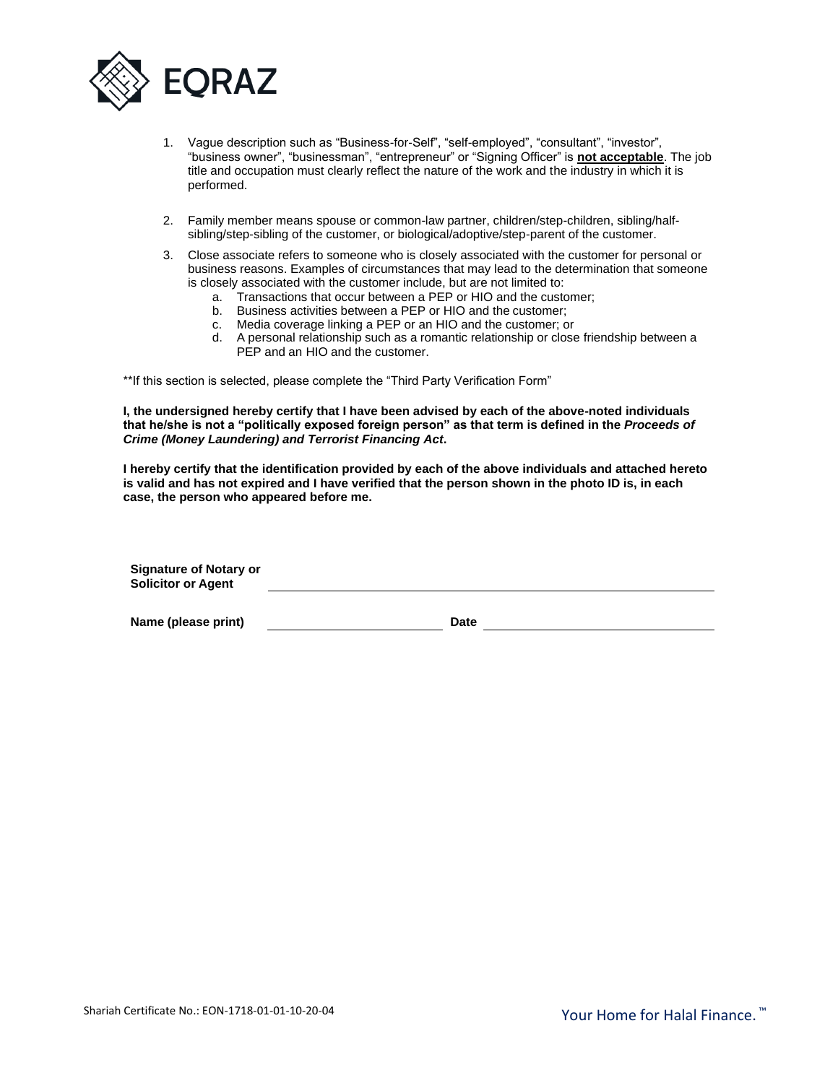

- 1. Vague description such as "Business-for-Self", "self-employed", "consultant", "investor", "business owner", "businessman", "entrepreneur" or "Signing Officer" is **not acceptable**. The job title and occupation must clearly reflect the nature of the work and the industry in which it is performed.
- 2. Family member means spouse or common-law partner, children/step-children, sibling/halfsibling/step-sibling of the customer, or biological/adoptive/step-parent of the customer.
- 3. Close associate refers to someone who is closely associated with the customer for personal or business reasons. Examples of circumstances that may lead to the determination that someone is closely associated with the customer include, but are not limited to:
	- a. Transactions that occur between a PEP or HIO and the customer;
	- b. Business activities between a PEP or HIO and the customer;
	- c. Media coverage linking a PEP or an HIO and the customer; or
	- d. A personal relationship such as a romantic relationship or close friendship between a PEP and an HIO and the customer.

\*\*If this section is selected, please complete the "Third Party Verification Form"

**I, the undersigned hereby certify that I have been advised by each of the above-noted individuals that he/she is not a "politically exposed foreign person" as that term is defined in the** *Proceeds of Crime (Money Laundering) and Terrorist Financing Act***.**

**I hereby certify that the identification provided by each of the above individuals and attached hereto is valid and has not expired and I have verified that the person shown in the photo ID is, in each case, the person who appeared before me.**

| <b>Signature of Notary or</b><br><b>Solicitor or Agent</b> |  |  |
|------------------------------------------------------------|--|--|
| ___                                                        |  |  |

**Name (please print) Date**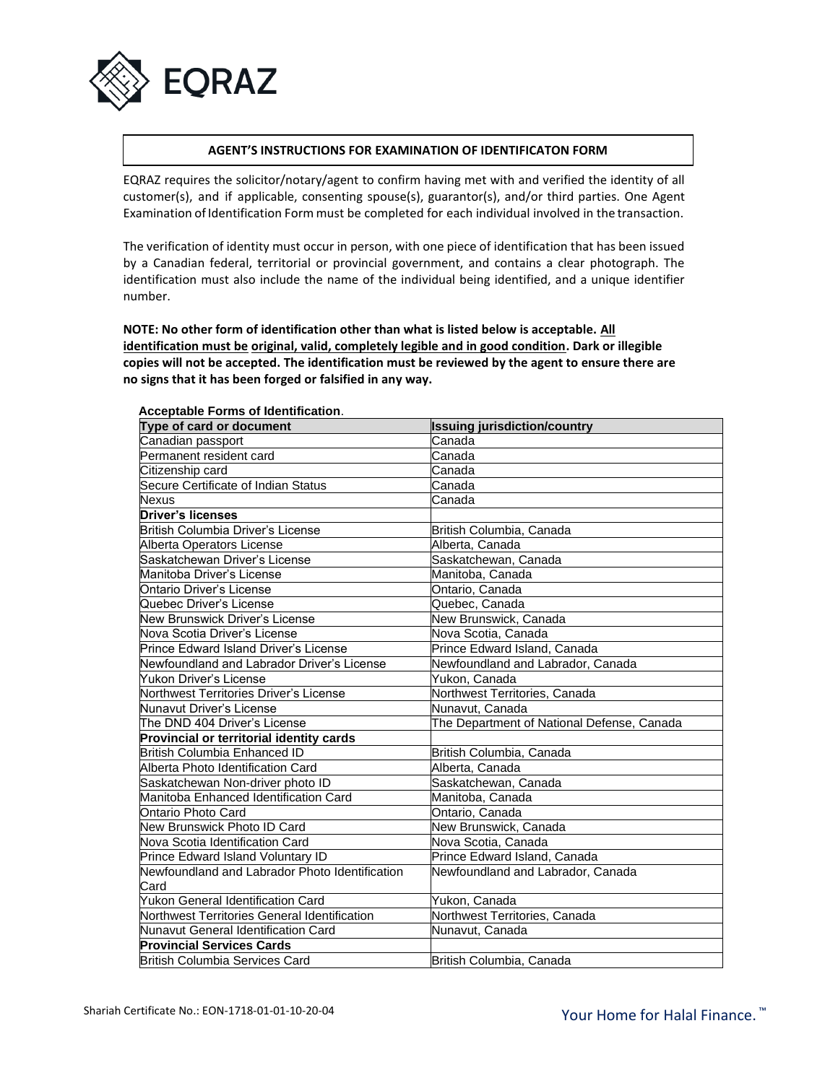

### **AGENT'S INSTRUCTIONS FOR EXAMINATION OF IDENTIFICATON FORM**

EQRAZ requires the solicitor/notary/agent to confirm having met with and verified the identity of all customer(s), and if applicable, consenting spouse(s), guarantor(s), and/or third parties. One Agent Examination of Identification Form must be completed for each individual involved in the transaction.

The verification of identity must occur in person, with one piece of identification that has been issued by a Canadian federal, territorial or provincial government, and contains a clear photograph. The identification must also include the name of the individual being identified, and a unique identifier number.

**NOTE: No other form of identification other than what is listed below is acceptable. All identification must be original, valid, completely legible and in good condition. Dark or illegible copies will not be accepted. The identification must be reviewed by the agent to ensure there are no signs that it has been forged or falsified in any way.**

| Type of card or document                       | <b>Issuing jurisdiction/country</b>        |
|------------------------------------------------|--------------------------------------------|
| Canadian passport                              | Canada                                     |
| Permanent resident card                        | Canada                                     |
| Citizenship card                               | Canada                                     |
| Secure Certificate of Indian Status            | Canada                                     |
| <b>Nexus</b>                                   | Canada                                     |
| <b>Driver's licenses</b>                       |                                            |
| British Columbia Driver's License              | British Columbia, Canada                   |
| Alberta Operators License                      | Alberta, Canada                            |
| Saskatchewan Driver's License                  | Saskatchewan, Canada                       |
| Manitoba Driver's License                      | Manitoba, Canada                           |
| Ontario Driver's License                       | Ontario, Canada                            |
| Quebec Driver's License                        | Quebec, Canada                             |
| New Brunswick Driver's License                 | New Brunswick, Canada                      |
| Nova Scotia Driver's License                   | Nova Scotia, Canada                        |
| Prince Edward Island Driver's License          | Prince Edward Island, Canada               |
| Newfoundland and Labrador Driver's License     | Newfoundland and Labrador, Canada          |
| Yukon Driver's License                         | Yukon, Canada                              |
| Northwest Territories Driver's License         | Northwest Territories, Canada              |
| Nunavut Driver's License                       | Nunavut, Canada                            |
| The DND 404 Driver's License                   | The Department of National Defense, Canada |
| Provincial or territorial identity cards       |                                            |
| <b>British Columbia Enhanced ID</b>            | British Columbia, Canada                   |
| Alberta Photo Identification Card              | Alberta, Canada                            |
| Saskatchewan Non-driver photo ID               | Saskatchewan, Canada                       |
| Manitoba Enhanced Identification Card          | Manitoba, Canada                           |
| Ontario Photo Card                             | Ontario, Canada                            |
| New Brunswick Photo ID Card                    | New Brunswick, Canada                      |
| Nova Scotia Identification Card                | Nova Scotia, Canada                        |
| Prince Edward Island Voluntary ID              | Prince Edward Island, Canada               |
| Newfoundland and Labrador Photo Identification | Newfoundland and Labrador, Canada          |
| Card                                           |                                            |
| <b>Yukon General Identification Card</b>       | Yukon, Canada                              |
| Northwest Territories General Identification   | Northwest Territories, Canada              |
| Nunavut General Identification Card            | Nunavut, Canada                            |
| <b>Provincial Services Cards</b>               |                                            |
| <b>British Columbia Services Card</b>          | British Columbia, Canada                   |

#### **Acceptable Forms of Identification**.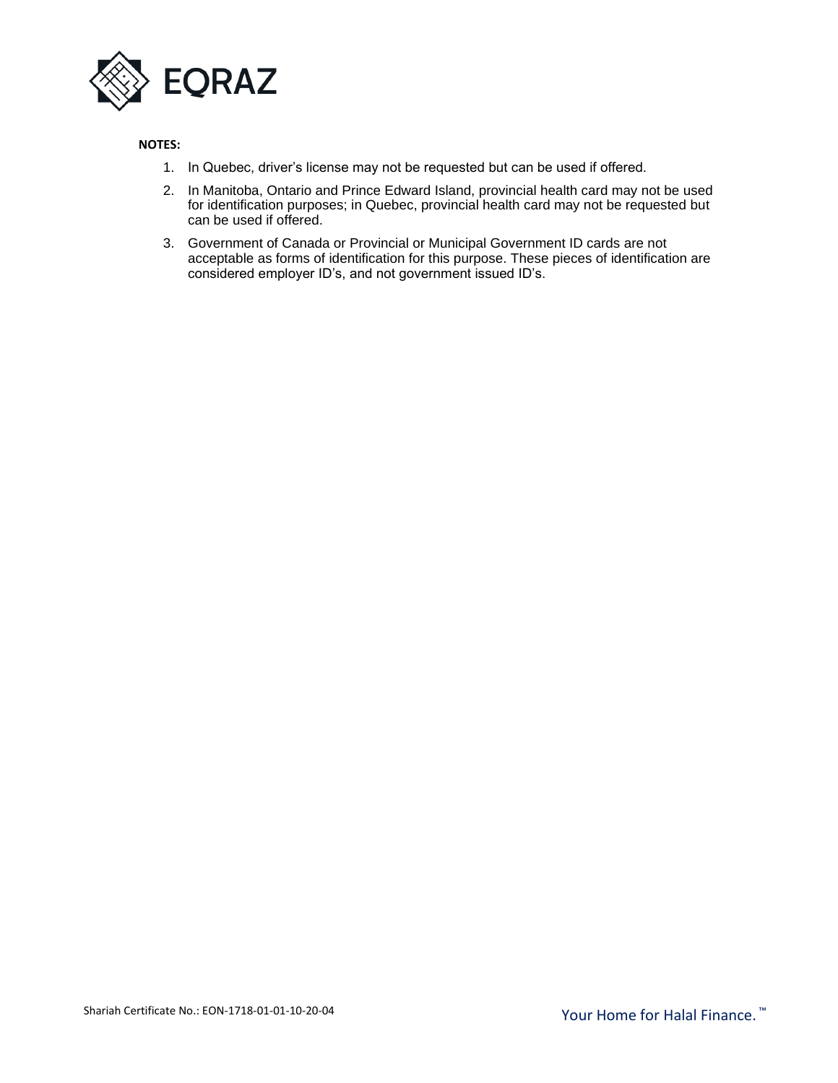

## **NOTES:**

- 1. In Quebec, driver's license may not be requested but can be used if offered.
- 2. In Manitoba, Ontario and Prince Edward Island, provincial health card may not be used for identification purposes; in Quebec, provincial health card may not be requested but can be used if offered.
- 3. Government of Canada or Provincial or Municipal Government ID cards are not acceptable as forms of identification for this purpose. These pieces of identification are considered employer ID's, and not government issued ID's.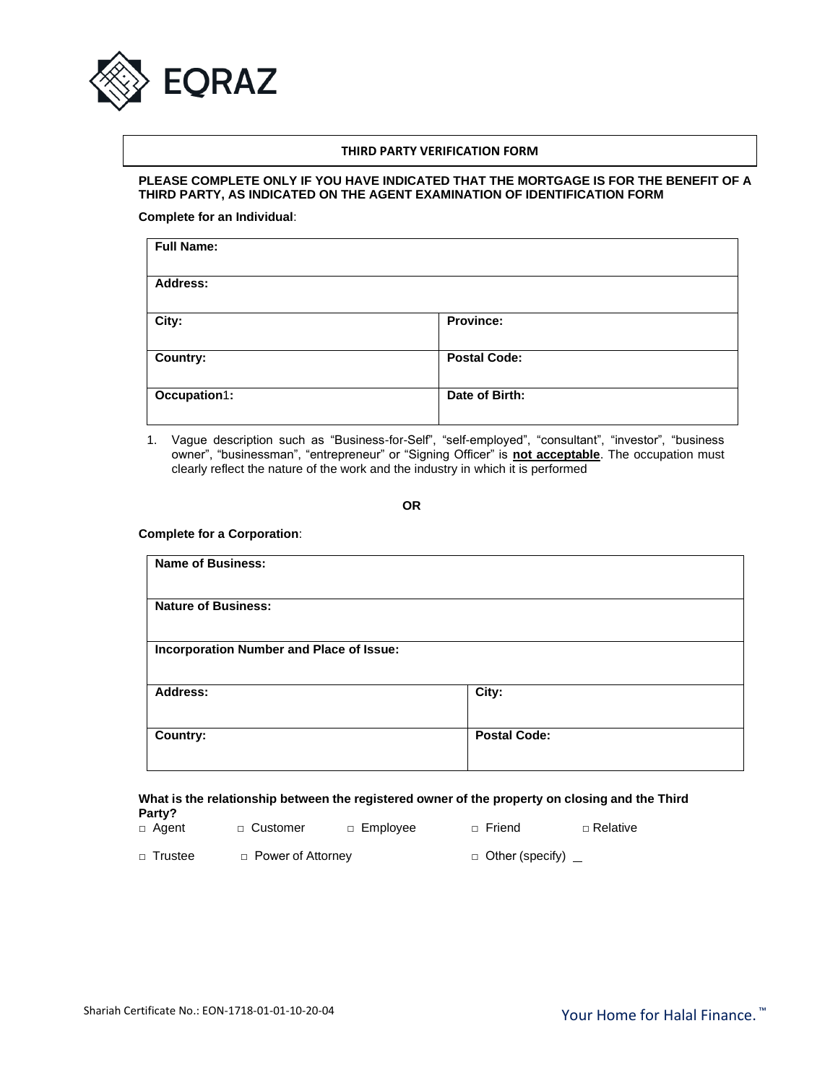

#### **THIRD PARTY VERIFICATION FORM**

#### **PLEASE COMPLETE ONLY IF YOU HAVE INDICATED THAT THE MORTGAGE IS FOR THE BENEFIT OF A THIRD PARTY, AS INDICATED ON THE AGENT EXAMINATION OF IDENTIFICATION FORM**

**Complete for an Individual**:

| <b>Full Name:</b> |                     |
|-------------------|---------------------|
| <b>Address:</b>   |                     |
| City:             | Province:           |
| <b>Country:</b>   | <b>Postal Code:</b> |
| Occupation1:      | Date of Birth:      |

1. Vague description such as "Business-for-Self", "self-employed", "consultant", "investor", "business owner", "businessman", "entrepreneur" or "Signing Officer" is **not acceptable**. The occupation must clearly reflect the nature of the work and the industry in which it is performed

**OR**

#### **Complete for a Corporation**:

| <b>Name of Business:</b>                 |                     |
|------------------------------------------|---------------------|
| <b>Nature of Business:</b>               |                     |
| Incorporation Number and Place of Issue: |                     |
| Address:                                 | City:               |
| Country:                                 | <b>Postal Code:</b> |

#### **What is the relationship between the registered owner of the property on closing and the Third Party?**

| □ Agent   | □ Customer          | □ Employee | □ Friend               | □ Relative |
|-----------|---------------------|------------|------------------------|------------|
| □ Trustee | □ Power of Attorney |            | $\Box$ Other (specify) |            |